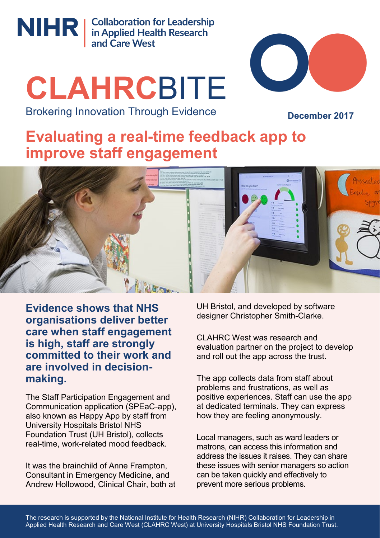

NIHR | Collaboration for Leadership<br>
and Care West

# **CLAHRC**BITE Brokering Innovation Through Evidence



**December 2017**

# **Evaluating a real-time feedback app to improve staff engagement**



**Evidence shows that NHS organisations deliver better care when staff engagement is high, staff are strongly committed to their work and are involved in decisionmaking.** 

The Staff Participation Engagement and Communication application (SPEaC-app), also known as Happy App by staff from University Hospitals Bristol NHS Foundation Trust (UH Bristol), collects real-time, work-related mood feedback.

It was the brainchild of Anne Frampton, Consultant in Emergency Medicine, and Andrew Hollowood, Clinical Chair, both at UH Bristol, and developed by software designer Christopher Smith-Clarke.

CLAHRC West was research and evaluation partner on the project to develop and roll out the app across the trust.

The app collects data from staff about problems and frustrations, as well as positive experiences. Staff can use the app at dedicated terminals. They can express how they are feeling anonymously.

Local managers, such as ward leaders or matrons, can access this information and address the issues it raises. They can share these issues with senior managers so action can be taken quickly and effectively to prevent more serious problems.